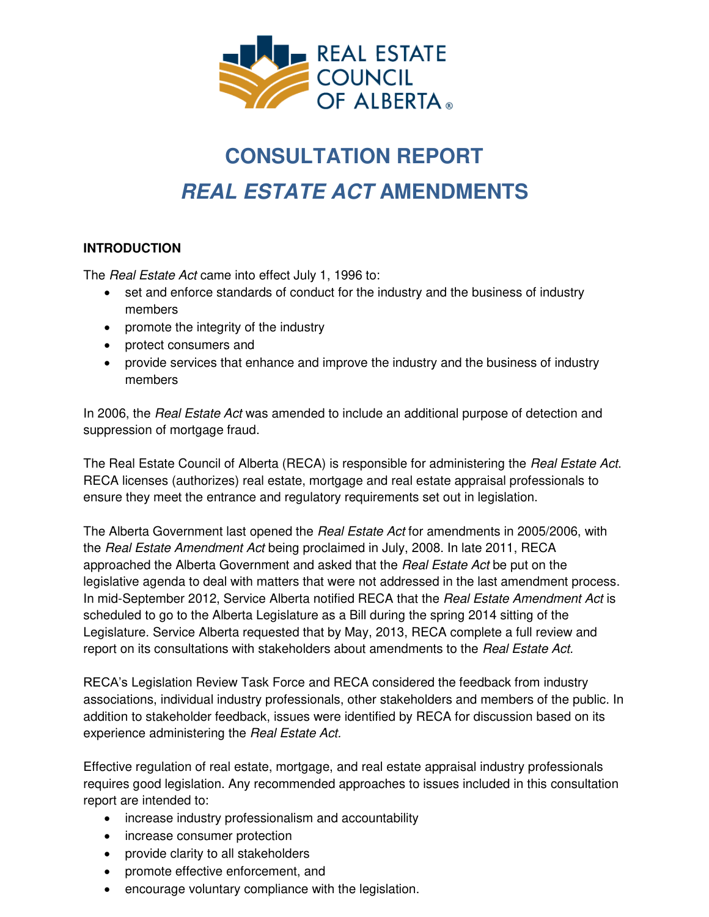

# **CONSULTATION REPORT**  *REAL ESTATE ACT* **AMENDMENTS**

# **INTRODUCTION**

The *Real Estate Act* came into effect July 1, 1996 to:

- set and enforce standards of conduct for the industry and the business of industry members
- promote the integrity of the industry
- protect consumers and
- provide services that enhance and improve the industry and the business of industry members

In 2006, the *Real Estate Act* was amended to include an additional purpose of detection and suppression of mortgage fraud.

The Real Estate Council of Alberta (RECA) is responsible for administering the *Real Estate Act*. RECA licenses (authorizes) real estate, mortgage and real estate appraisal professionals to ensure they meet the entrance and regulatory requirements set out in legislation.

The Alberta Government last opened the *Real Estate Act* for amendments in 2005/2006, with the *Real Estate Amendment Act* being proclaimed in July, 2008. In late 2011, RECA approached the Alberta Government and asked that the *Real Estate Act* be put on the legislative agenda to deal with matters that were not addressed in the last amendment process. In mid-September 2012, Service Alberta notified RECA that the *Real Estate Amendment Act* is scheduled to go to the Alberta Legislature as a Bill during the spring 2014 sitting of the Legislature. Service Alberta requested that by May, 2013, RECA complete a full review and report on its consultations with stakeholders about amendments to the *Real Estate Act.* 

RECA's Legislation Review Task Force and RECA considered the feedback from industry associations, individual industry professionals, other stakeholders and members of the public. In addition to stakeholder feedback, issues were identified by RECA for discussion based on its experience administering the *Real Estate Act.*

Effective regulation of real estate, mortgage, and real estate appraisal industry professionals requires good legislation. Any recommended approaches to issues included in this consultation report are intended to:

- increase industry professionalism and accountability
- increase consumer protection
- provide clarity to all stakeholders
- promote effective enforcement, and
- encourage voluntary compliance with the legislation.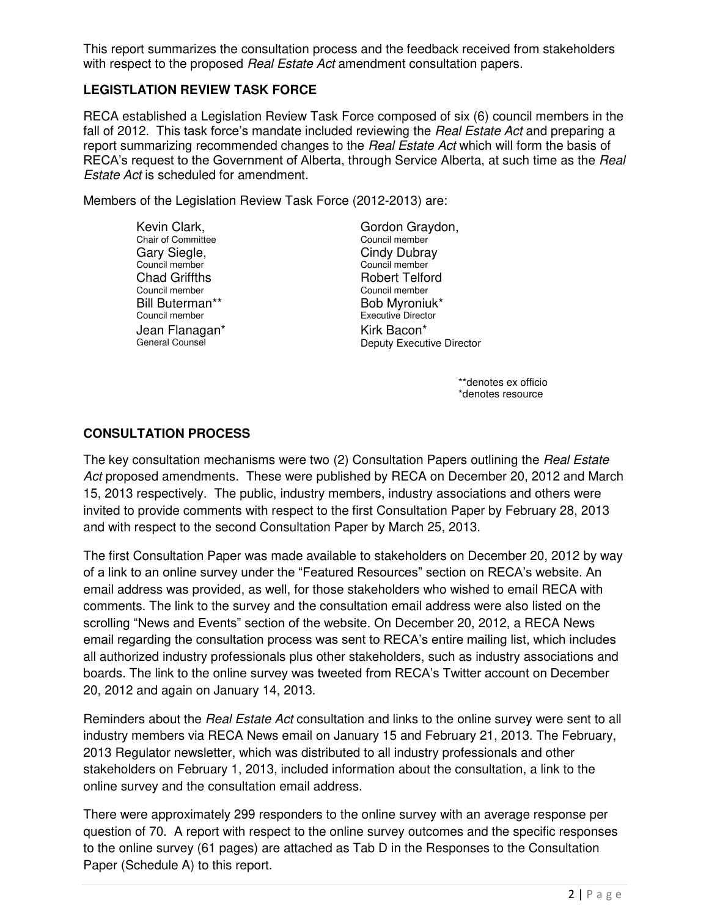This report summarizes the consultation process and the feedback received from stakeholders with respect to the proposed *Real Estate Act* amendment consultation papers.

## **LEGISTLATION REVIEW TASK FORCE**

RECA established a Legislation Review Task Force composed of six (6) council members in the fall of 2012. This task force's mandate included reviewing the *Real Estate Act* and preparing a report summarizing recommended changes to the *Real Estate Act* which will form the basis of RECA's request to the Government of Alberta, through Service Alberta, at such time as the *Real Estate Act* is scheduled for amendment.

Members of the Legislation Review Task Force (2012-2013) are:

Kevin Clark, Chair of Committee Gary Siegle, Council member Chad Griffths Council member Bill Buterman\*\* Council member Jean Flanagan\* General Counsel

Gordon Graydon, Council member Cindy Dubray Council member Robert Telford Council member Bob Myroniuk\* Executive Director Kirk Bacon\* Deputy Executive Director

> \*\*denotes ex officio \*denotes resource

## **CONSULTATION PROCESS**

The key consultation mechanisms were two (2) Consultation Papers outlining the *Real Estate Act* proposed amendments. These were published by RECA on December 20, 2012 and March 15, 2013 respectively. The public, industry members, industry associations and others were invited to provide comments with respect to the first Consultation Paper by February 28, 2013 and with respect to the second Consultation Paper by March 25, 2013.

The first Consultation Paper was made available to stakeholders on December 20, 2012 by way of a link to an online survey under the "Featured Resources" section on RECA's website. An email address was provided, as well, for those stakeholders who wished to email RECA with comments. The link to the survey and the consultation email address were also listed on the scrolling "News and Events" section of the website. On December 20, 2012, a RECA News email regarding the consultation process was sent to RECA's entire mailing list, which includes all authorized industry professionals plus other stakeholders, such as industry associations and boards. The link to the online survey was tweeted from RECA's Twitter account on December 20, 2012 and again on January 14, 2013.

Reminders about the *Real Estate Act* consultation and links to the online survey were sent to all industry members via RECA News email on January 15 and February 21, 2013. The February, 2013 Regulator newsletter, which was distributed to all industry professionals and other stakeholders on February 1, 2013, included information about the consultation, a link to the online survey and the consultation email address.

There were approximately 299 responders to the online survey with an average response per question of 70. A report with respect to the online survey outcomes and the specific responses to the online survey (61 pages) are attached as Tab D in the Responses to the Consultation Paper (Schedule A) to this report.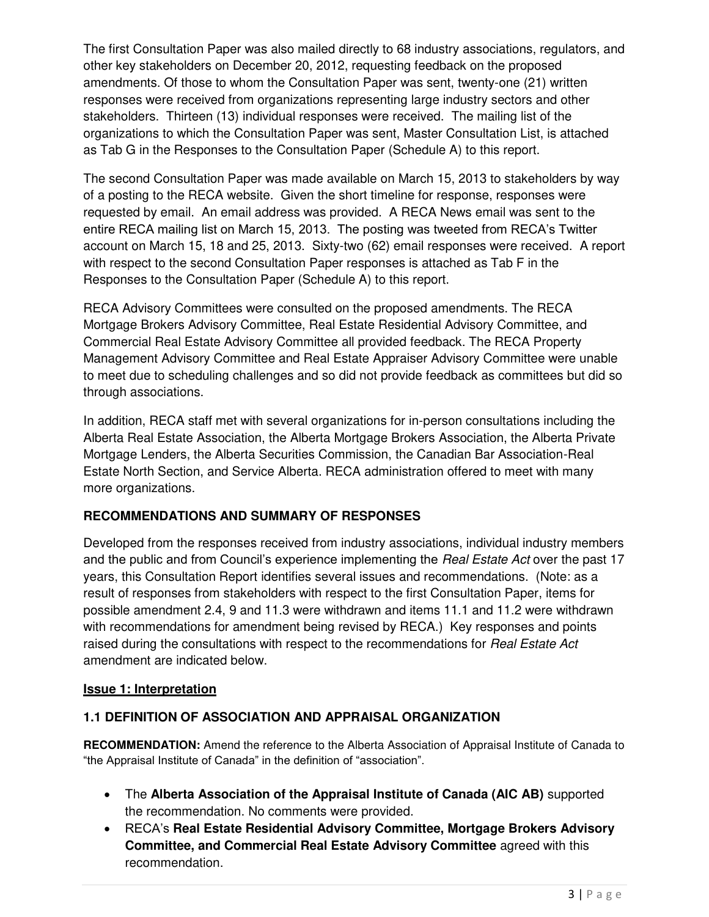The first Consultation Paper was also mailed directly to 68 industry associations, regulators, and other key stakeholders on December 20, 2012, requesting feedback on the proposed amendments. Of those to whom the Consultation Paper was sent, twenty-one (21) written responses were received from organizations representing large industry sectors and other stakeholders. Thirteen (13) individual responses were received. The mailing list of the organizations to which the Consultation Paper was sent, Master Consultation List, is attached as Tab G in the Responses to the Consultation Paper (Schedule A) to this report.

The second Consultation Paper was made available on March 15, 2013 to stakeholders by way of a posting to the RECA website. Given the short timeline for response, responses were requested by email. An email address was provided. A RECA News email was sent to the entire RECA mailing list on March 15, 2013. The posting was tweeted from RECA's Twitter account on March 15, 18 and 25, 2013. Sixty-two (62) email responses were received. A report with respect to the second Consultation Paper responses is attached as Tab F in the Responses to the Consultation Paper (Schedule A) to this report.

RECA Advisory Committees were consulted on the proposed amendments. The RECA Mortgage Brokers Advisory Committee, Real Estate Residential Advisory Committee, and Commercial Real Estate Advisory Committee all provided feedback. The RECA Property Management Advisory Committee and Real Estate Appraiser Advisory Committee were unable to meet due to scheduling challenges and so did not provide feedback as committees but did so through associations.

In addition, RECA staff met with several organizations for in-person consultations including the Alberta Real Estate Association, the Alberta Mortgage Brokers Association, the Alberta Private Mortgage Lenders, the Alberta Securities Commission, the Canadian Bar Association-Real Estate North Section, and Service Alberta. RECA administration offered to meet with many more organizations.

## **RECOMMENDATIONS AND SUMMARY OF RESPONSES**

Developed from the responses received from industry associations, individual industry members and the public and from Council's experience implementing the *Real Estate Act* over the past 17 years, this Consultation Report identifies several issues and recommendations. (Note: as a result of responses from stakeholders with respect to the first Consultation Paper, items for possible amendment 2.4, 9 and 11.3 were withdrawn and items 11.1 and 11.2 were withdrawn with recommendations for amendment being revised by RECA.) Key responses and points raised during the consultations with respect to the recommendations for *Real Estate Act* amendment are indicated below.

## **Issue 1: Interpretation**

## **1.1 DEFINITION OF ASSOCIATION AND APPRAISAL ORGANIZATION**

**RECOMMENDATION:** Amend the reference to the Alberta Association of Appraisal Institute of Canada to "the Appraisal Institute of Canada" in the definition of "association".

- The **Alberta Association of the Appraisal Institute of Canada (AIC AB)** supported the recommendation. No comments were provided.
- RECA's **Real Estate Residential Advisory Committee, Mortgage Brokers Advisory Committee, and Commercial Real Estate Advisory Committee** agreed with this recommendation.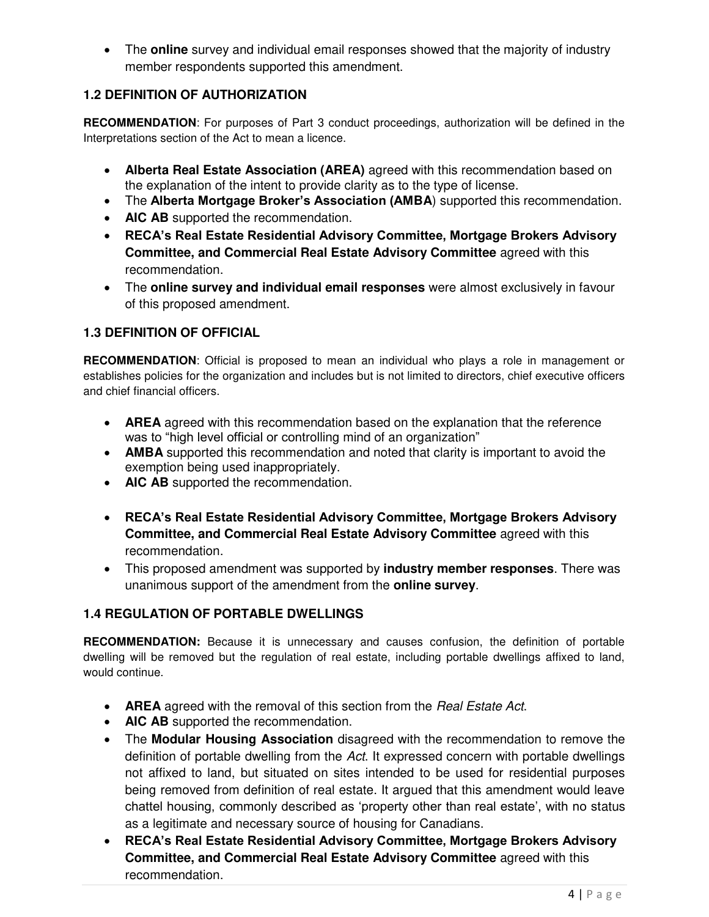The **online** survey and individual email responses showed that the majority of industry member respondents supported this amendment.

# **1.2 DEFINITION OF AUTHORIZATION**

**RECOMMENDATION**: For purposes of Part 3 conduct proceedings, authorization will be defined in the Interpretations section of the Act to mean a licence.

- **Alberta Real Estate Association (AREA)** agreed with this recommendation based on the explanation of the intent to provide clarity as to the type of license.
- The **Alberta Mortgage Broker's Association (AMBA**) supported this recommendation.
- **AIC AB** supported the recommendation.
- **RECA's Real Estate Residential Advisory Committee, Mortgage Brokers Advisory Committee, and Commercial Real Estate Advisory Committee** agreed with this recommendation.
- The **online survey and individual email responses** were almost exclusively in favour of this proposed amendment.

#### **1.3 DEFINITION OF OFFICIAL**

**RECOMMENDATION**: Official is proposed to mean an individual who plays a role in management or establishes policies for the organization and includes but is not limited to directors, chief executive officers and chief financial officers.

- **AREA** agreed with this recommendation based on the explanation that the reference was to "high level official or controlling mind of an organization"
- **AMBA** supported this recommendation and noted that clarity is important to avoid the exemption being used inappropriately.
- **AIC AB** supported the recommendation.
- **RECA's Real Estate Residential Advisory Committee, Mortgage Brokers Advisory Committee, and Commercial Real Estate Advisory Committee** agreed with this recommendation.
- This proposed amendment was supported by **industry member responses**. There was unanimous support of the amendment from the **online survey**.

## **1.4 REGULATION OF PORTABLE DWELLINGS**

**RECOMMENDATION:** Because it is unnecessary and causes confusion, the definition of portable dwelling will be removed but the regulation of real estate, including portable dwellings affixed to land, would continue.

- **AREA** agreed with the removal of this section from the *Real Estate Act*.
- **AIC AB** supported the recommendation.
- The **Modular Housing Association** disagreed with the recommendation to remove the definition of portable dwelling from the *Act*. It expressed concern with portable dwellings not affixed to land, but situated on sites intended to be used for residential purposes being removed from definition of real estate. It argued that this amendment would leave chattel housing, commonly described as 'property other than real estate', with no status as a legitimate and necessary source of housing for Canadians.
- **RECA's Real Estate Residential Advisory Committee, Mortgage Brokers Advisory Committee, and Commercial Real Estate Advisory Committee** agreed with this recommendation.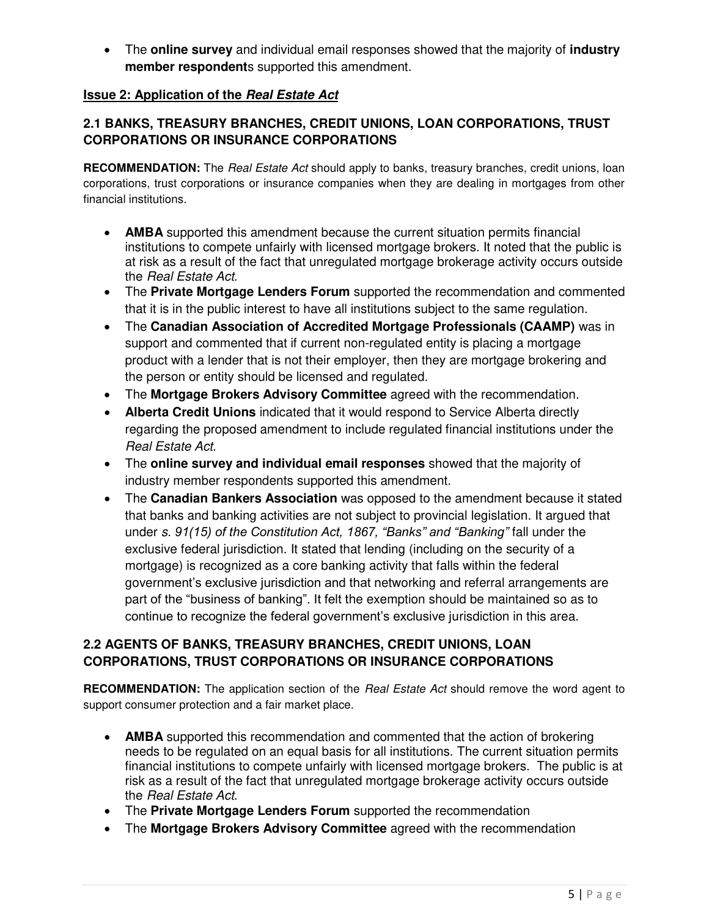The **online survey** and individual email responses showed that the majority of **industry member respondent**s supported this amendment.

## **Issue 2: Application of the** *Real Estate Act*

# **2.1 BANKS, TREASURY BRANCHES, CREDIT UNIONS, LOAN CORPORATIONS, TRUST CORPORATIONS OR INSURANCE CORPORATIONS**

**RECOMMENDATION:** The *Real Estate Act* should apply to banks, treasury branches, credit unions, loan corporations, trust corporations or insurance companies when they are dealing in mortgages from other financial institutions.

- **AMBA** supported this amendment because the current situation permits financial institutions to compete unfairly with licensed mortgage brokers. It noted that the public is at risk as a result of the fact that unregulated mortgage brokerage activity occurs outside the *Real Estate Act*.
- The **Private Mortgage Lenders Forum** supported the recommendation and commented that it is in the public interest to have all institutions subject to the same regulation.
- The **Canadian Association of Accredited Mortgage Professionals (CAAMP)** was in support and commented that if current non-regulated entity is placing a mortgage product with a lender that is not their employer, then they are mortgage brokering and the person or entity should be licensed and regulated.
- The **Mortgage Brokers Advisory Committee** agreed with the recommendation.
- **Alberta Credit Unions** indicated that it would respond to Service Alberta directly regarding the proposed amendment to include regulated financial institutions under the *Real Estate Act*.
- The **online survey and individual email responses** showed that the majority of industry member respondents supported this amendment.
- The **Canadian Bankers Association** was opposed to the amendment because it stated that banks and banking activities are not subject to provincial legislation. It argued that under *s. 91(15) of the Constitution Act, 1867, "Banks" and "Banking"* fall under the exclusive federal jurisdiction. It stated that lending (including on the security of a mortgage) is recognized as a core banking activity that falls within the federal government's exclusive jurisdiction and that networking and referral arrangements are part of the "business of banking". It felt the exemption should be maintained so as to continue to recognize the federal government's exclusive jurisdiction in this area.

# **2.2 AGENTS OF BANKS, TREASURY BRANCHES, CREDIT UNIONS, LOAN CORPORATIONS, TRUST CORPORATIONS OR INSURANCE CORPORATIONS**

**RECOMMENDATION:** The application section of the *Real Estate Act* should remove the word agent to support consumer protection and a fair market place.

- **AMBA** supported this recommendation and commented that the action of brokering needs to be regulated on an equal basis for all institutions. The current situation permits financial institutions to compete unfairly with licensed mortgage brokers. The public is at risk as a result of the fact that unregulated mortgage brokerage activity occurs outside the *Real Estate Act*.
- The **Private Mortgage Lenders Forum** supported the recommendation
- The **Mortgage Brokers Advisory Committee** agreed with the recommendation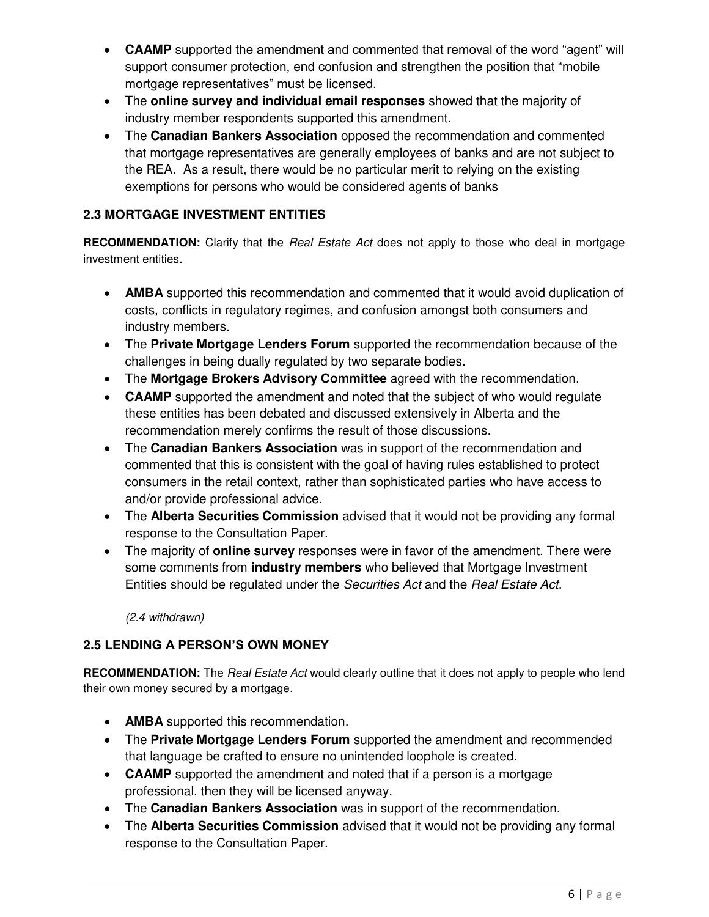- **CAAMP** supported the amendment and commented that removal of the word "agent" will support consumer protection, end confusion and strengthen the position that "mobile mortgage representatives" must be licensed.
- The **online survey and individual email responses** showed that the majority of industry member respondents supported this amendment.
- The **Canadian Bankers Association** opposed the recommendation and commented that mortgage representatives are generally employees of banks and are not subject to the REA. As a result, there would be no particular merit to relying on the existing exemptions for persons who would be considered agents of banks

# **2.3 MORTGAGE INVESTMENT ENTITIES**

**RECOMMENDATION:** Clarify that the *Real Estate Act* does not apply to those who deal in mortgage investment entities.

- **AMBA** supported this recommendation and commented that it would avoid duplication of costs, conflicts in regulatory regimes, and confusion amongst both consumers and industry members.
- The **Private Mortgage Lenders Forum** supported the recommendation because of the challenges in being dually regulated by two separate bodies.
- The **Mortgage Brokers Advisory Committee** agreed with the recommendation.
- **CAAMP** supported the amendment and noted that the subject of who would regulate these entities has been debated and discussed extensively in Alberta and the recommendation merely confirms the result of those discussions.
- The **Canadian Bankers Association** was in support of the recommendation and commented that this is consistent with the goal of having rules established to protect consumers in the retail context, rather than sophisticated parties who have access to and/or provide professional advice.
- The **Alberta Securities Commission** advised that it would not be providing any formal response to the Consultation Paper.
- The majority of **online survey** responses were in favor of the amendment. There were some comments from **industry members** who believed that Mortgage Investment Entities should be regulated under the *Securities Act* and the *Real Estate Act*.

*(2.4 withdrawn)* 

## **2.5 LENDING A PERSON'S OWN MONEY**

**RECOMMENDATION:** The *Real Estate Act* would clearly outline that it does not apply to people who lend their own money secured by a mortgage.

- **AMBA** supported this recommendation.
- The **Private Mortgage Lenders Forum** supported the amendment and recommended that language be crafted to ensure no unintended loophole is created.
- **CAAMP** supported the amendment and noted that if a person is a mortgage professional, then they will be licensed anyway.
- The **Canadian Bankers Association** was in support of the recommendation.
- The **Alberta Securities Commission** advised that it would not be providing any formal response to the Consultation Paper.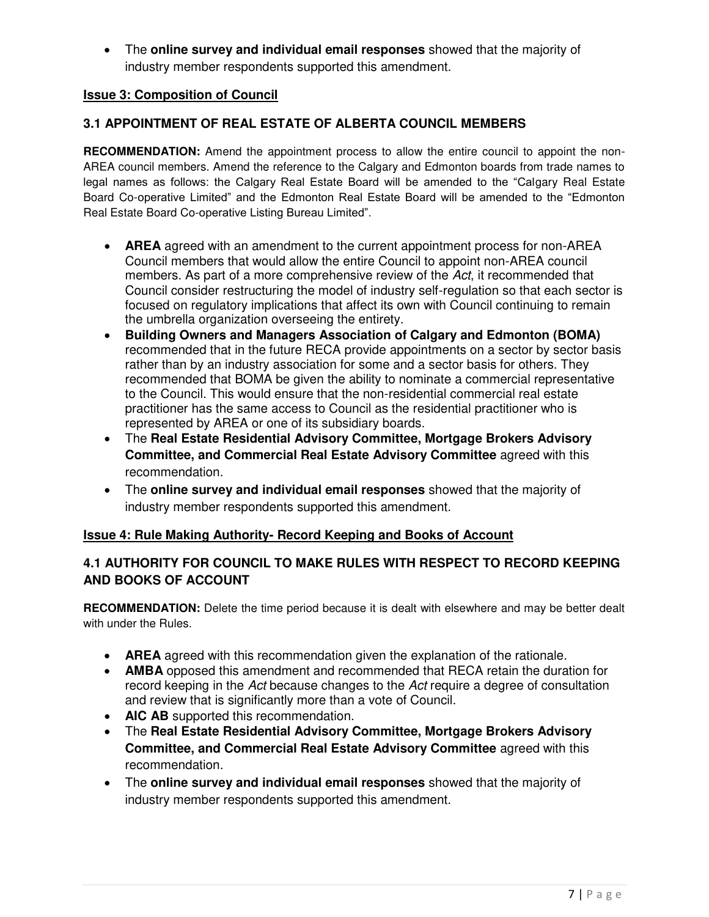The **online survey and individual email responses** showed that the majority of industry member respondents supported this amendment.

#### **Issue 3: Composition of Council**

#### **3.1 APPOINTMENT OF REAL ESTATE OF ALBERTA COUNCIL MEMBERS**

**RECOMMENDATION:** Amend the appointment process to allow the entire council to appoint the non-AREA council members. Amend the reference to the Calgary and Edmonton boards from trade names to legal names as follows: the Calgary Real Estate Board will be amended to the "Calgary Real Estate Board Co-operative Limited" and the Edmonton Real Estate Board will be amended to the "Edmonton Real Estate Board Co-operative Listing Bureau Limited".

- **AREA** agreed with an amendment to the current appointment process for non-AREA Council members that would allow the entire Council to appoint non-AREA council members. As part of a more comprehensive review of the *Act*, it recommended that Council consider restructuring the model of industry self-regulation so that each sector is focused on regulatory implications that affect its own with Council continuing to remain the umbrella organization overseeing the entirety.
- **Building Owners and Managers Association of Calgary and Edmonton (BOMA)**  recommended that in the future RECA provide appointments on a sector by sector basis rather than by an industry association for some and a sector basis for others. They recommended that BOMA be given the ability to nominate a commercial representative to the Council. This would ensure that the non-residential commercial real estate practitioner has the same access to Council as the residential practitioner who is represented by AREA or one of its subsidiary boards.
- The **Real Estate Residential Advisory Committee, Mortgage Brokers Advisory Committee, and Commercial Real Estate Advisory Committee** agreed with this recommendation.
- The **online survey and individual email responses** showed that the majority of industry member respondents supported this amendment.

#### **Issue 4: Rule Making Authority- Record Keeping and Books of Account**

#### **4.1 AUTHORITY FOR COUNCIL TO MAKE RULES WITH RESPECT TO RECORD KEEPING AND BOOKS OF ACCOUNT**

**RECOMMENDATION:** Delete the time period because it is dealt with elsewhere and may be better dealt with under the Rules.

- **AREA** agreed with this recommendation given the explanation of the rationale.
- **AMBA** opposed this amendment and recommended that RECA retain the duration for record keeping in the *Act* because changes to the *Act* require a degree of consultation and review that is significantly more than a vote of Council.
- **AIC AB** supported this recommendation.
- The **Real Estate Residential Advisory Committee, Mortgage Brokers Advisory Committee, and Commercial Real Estate Advisory Committee** agreed with this recommendation.
- The **online survey and individual email responses** showed that the majority of industry member respondents supported this amendment.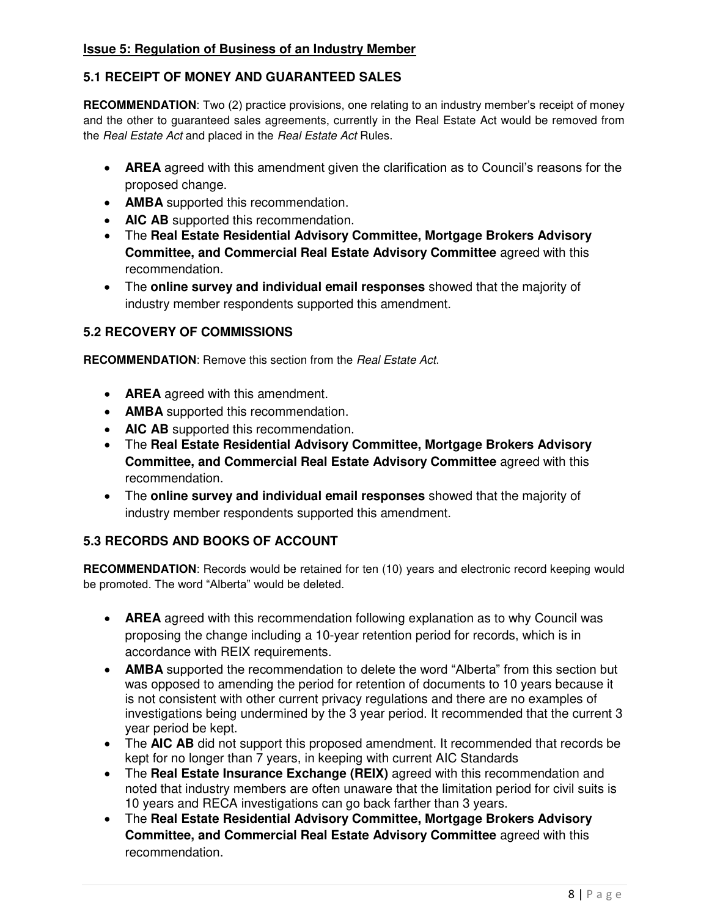#### **Issue 5: Regulation of Business of an Industry Member**

### **5.1 RECEIPT OF MONEY AND GUARANTEED SALES**

**RECOMMENDATION**: Two (2) practice provisions, one relating to an industry member's receipt of money and the other to guaranteed sales agreements, currently in the Real Estate Act would be removed from the *Real Estate Act* and placed in the *Real Estate Act* Rules.

- **AREA** agreed with this amendment given the clarification as to Council's reasons for the proposed change.
- **AMBA** supported this recommendation.
- **AIC AB** supported this recommendation.
- The **Real Estate Residential Advisory Committee, Mortgage Brokers Advisory Committee, and Commercial Real Estate Advisory Committee** agreed with this recommendation.
- The **online survey and individual email responses** showed that the majority of industry member respondents supported this amendment.

#### **5.2 RECOVERY OF COMMISSIONS**

**RECOMMENDATION**: Remove this section from the *Real Estate Act*.

- **AREA** agreed with this amendment.
- **AMBA** supported this recommendation.
- **AIC AB** supported this recommendation.
- The **Real Estate Residential Advisory Committee, Mortgage Brokers Advisory Committee, and Commercial Real Estate Advisory Committee** agreed with this recommendation.
- The **online survey and individual email responses** showed that the majority of industry member respondents supported this amendment.

#### **5.3 RECORDS AND BOOKS OF ACCOUNT**

**RECOMMENDATION**: Records would be retained for ten (10) years and electronic record keeping would be promoted. The word "Alberta" would be deleted.

- **AREA** agreed with this recommendation following explanation as to why Council was proposing the change including a 10-year retention period for records, which is in accordance with REIX requirements.
- **AMBA** supported the recommendation to delete the word "Alberta" from this section but was opposed to amending the period for retention of documents to 10 years because it is not consistent with other current privacy regulations and there are no examples of investigations being undermined by the 3 year period. It recommended that the current 3 year period be kept.
- The AIC AB did not support this proposed amendment. It recommended that records be kept for no longer than 7 years, in keeping with current AIC Standards
- The **Real Estate Insurance Exchange (REIX)** agreed with this recommendation and noted that industry members are often unaware that the limitation period for civil suits is 10 years and RECA investigations can go back farther than 3 years.
- The **Real Estate Residential Advisory Committee, Mortgage Brokers Advisory Committee, and Commercial Real Estate Advisory Committee** agreed with this recommendation.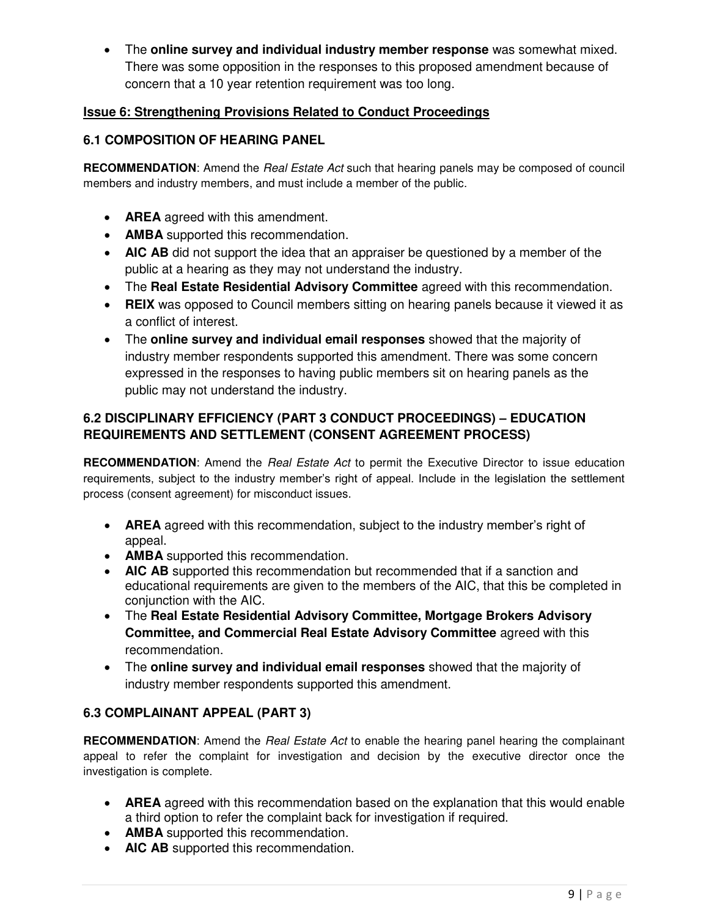The **online survey and individual industry member response** was somewhat mixed. There was some opposition in the responses to this proposed amendment because of concern that a 10 year retention requirement was too long.

## **Issue 6: Strengthening Provisions Related to Conduct Proceedings**

## **6.1 COMPOSITION OF HEARING PANEL**

**RECOMMENDATION**: Amend the *Real Estate Act* such that hearing panels may be composed of council members and industry members, and must include a member of the public.

- **AREA** agreed with this amendment.
- **AMBA** supported this recommendation.
- **AIC AB** did not support the idea that an appraiser be questioned by a member of the public at a hearing as they may not understand the industry.
- The **Real Estate Residential Advisory Committee** agreed with this recommendation.
- **REIX** was opposed to Council members sitting on hearing panels because it viewed it as a conflict of interest.
- The **online survey and individual email responses** showed that the majority of industry member respondents supported this amendment. There was some concern expressed in the responses to having public members sit on hearing panels as the public may not understand the industry.

# **6.2 DISCIPLINARY EFFICIENCY (PART 3 CONDUCT PROCEEDINGS) – EDUCATION REQUIREMENTS AND SETTLEMENT (CONSENT AGREEMENT PROCESS)**

**RECOMMENDATION**: Amend the *Real Estate Act* to permit the Executive Director to issue education requirements, subject to the industry member's right of appeal. Include in the legislation the settlement process (consent agreement) for misconduct issues.

- **AREA** agreed with this recommendation, subject to the industry member's right of appeal.
- **AMBA** supported this recommendation.
- **AIC AB** supported this recommendation but recommended that if a sanction and educational requirements are given to the members of the AIC, that this be completed in conjunction with the AIC.
- The **Real Estate Residential Advisory Committee, Mortgage Brokers Advisory Committee, and Commercial Real Estate Advisory Committee** agreed with this recommendation.
- The **online survey and individual email responses** showed that the majority of industry member respondents supported this amendment.

## **6.3 COMPLAINANT APPEAL (PART 3)**

**RECOMMENDATION**: Amend the *Real Estate Act* to enable the hearing panel hearing the complainant appeal to refer the complaint for investigation and decision by the executive director once the investigation is complete.

- **AREA** agreed with this recommendation based on the explanation that this would enable a third option to refer the complaint back for investigation if required.
- **AMBA** supported this recommendation.
- **AIC AB** supported this recommendation.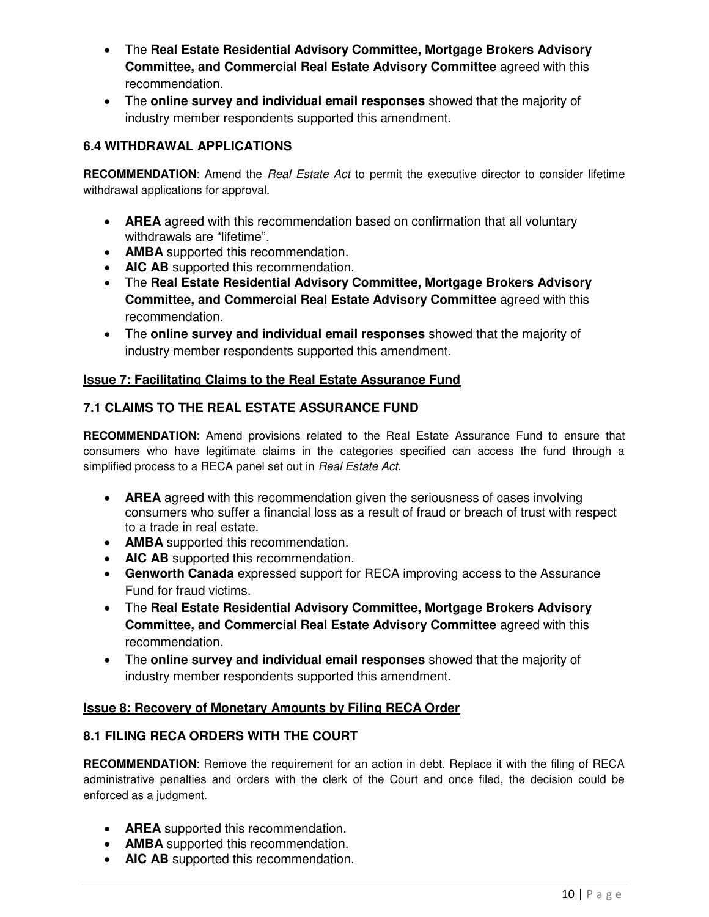- The **Real Estate Residential Advisory Committee, Mortgage Brokers Advisory Committee, and Commercial Real Estate Advisory Committee** agreed with this recommendation.
- The **online survey and individual email responses** showed that the majority of industry member respondents supported this amendment.

## **6.4 WITHDRAWAL APPLICATIONS**

**RECOMMENDATION**: Amend the *Real Estate Act* to permit the executive director to consider lifetime withdrawal applications for approval.

- **AREA** agreed with this recommendation based on confirmation that all voluntary withdrawals are "lifetime".
- **AMBA** supported this recommendation.
- **AIC AB** supported this recommendation.
- The **Real Estate Residential Advisory Committee, Mortgage Brokers Advisory Committee, and Commercial Real Estate Advisory Committee** agreed with this recommendation.
- The **online survey and individual email responses** showed that the majority of industry member respondents supported this amendment.

## **Issue 7: Facilitating Claims to the Real Estate Assurance Fund**

## **7.1 CLAIMS TO THE REAL ESTATE ASSURANCE FUND**

**RECOMMENDATION**: Amend provisions related to the Real Estate Assurance Fund to ensure that consumers who have legitimate claims in the categories specified can access the fund through a simplified process to a RECA panel set out in *Real Estate Act*.

- **AREA** agreed with this recommendation given the seriousness of cases involving consumers who suffer a financial loss as a result of fraud or breach of trust with respect to a trade in real estate.
- **AMBA** supported this recommendation.
- **AIC AB** supported this recommendation.
- **Genworth Canada** expressed support for RECA improving access to the Assurance Fund for fraud victims.
- The **Real Estate Residential Advisory Committee, Mortgage Brokers Advisory Committee, and Commercial Real Estate Advisory Committee** agreed with this recommendation.
- The **online survey and individual email responses** showed that the majority of industry member respondents supported this amendment.

#### **Issue 8: Recovery of Monetary Amounts by Filing RECA Order**

## **8.1 FILING RECA ORDERS WITH THE COURT**

**RECOMMENDATION**: Remove the requirement for an action in debt. Replace it with the filing of RECA administrative penalties and orders with the clerk of the Court and once filed, the decision could be enforced as a judgment.

- **AREA** supported this recommendation.
- **AMBA** supported this recommendation.
- **AIC AB** supported this recommendation.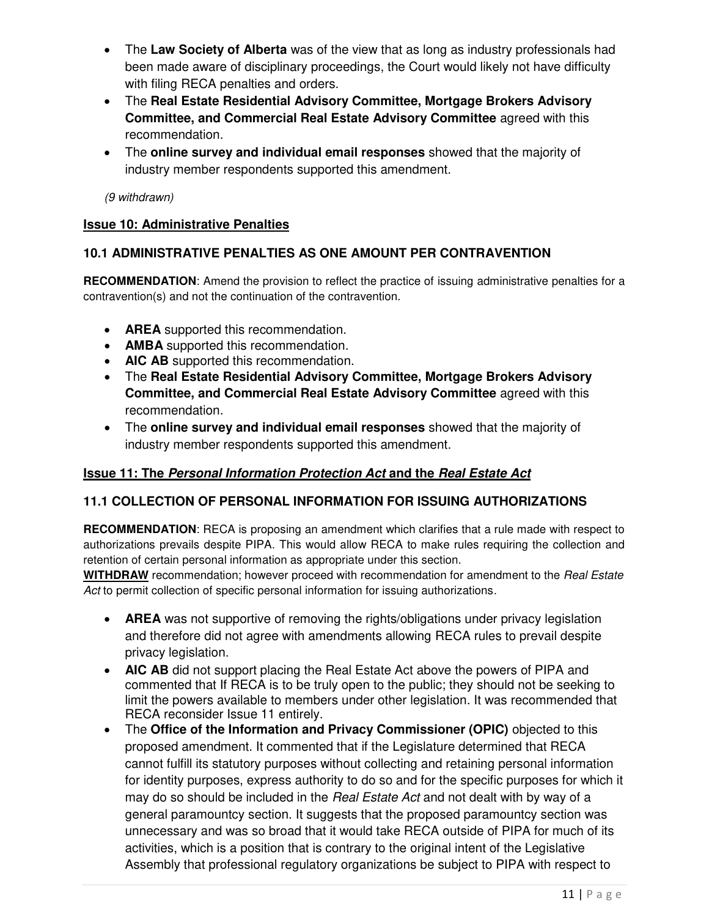- The **Law Society of Alberta** was of the view that as long as industry professionals had been made aware of disciplinary proceedings, the Court would likely not have difficulty with filing RECA penalties and orders.
- The **Real Estate Residential Advisory Committee, Mortgage Brokers Advisory Committee, and Commercial Real Estate Advisory Committee** agreed with this recommendation.
- The **online survey and individual email responses** showed that the majority of industry member respondents supported this amendment.

*(9 withdrawn)* 

## **Issue 10: Administrative Penalties**

## **10.1 ADMINISTRATIVE PENALTIES AS ONE AMOUNT PER CONTRAVENTION**

**RECOMMENDATION**: Amend the provision to reflect the practice of issuing administrative penalties for a contravention(s) and not the continuation of the contravention.

- **AREA** supported this recommendation.
- **AMBA** supported this recommendation.
- **AIC AB** supported this recommendation.
- The **Real Estate Residential Advisory Committee, Mortgage Brokers Advisory Committee, and Commercial Real Estate Advisory Committee** agreed with this recommendation.
- The **online survey and individual email responses** showed that the majority of industry member respondents supported this amendment.

## **Issue 11: The** *Personal Information Protection Act* **and the** *Real Estate Act*

## **11.1 COLLECTION OF PERSONAL INFORMATION FOR ISSUING AUTHORIZATIONS**

**RECOMMENDATION**: RECA is proposing an amendment which clarifies that a rule made with respect to authorizations prevails despite PIPA. This would allow RECA to make rules requiring the collection and retention of certain personal information as appropriate under this section.

**WITHDRAW** recommendation; however proceed with recommendation for amendment to the *Real Estate Act* to permit collection of specific personal information for issuing authorizations.

- **AREA** was not supportive of removing the rights/obligations under privacy legislation and therefore did not agree with amendments allowing RECA rules to prevail despite privacy legislation.
- **AIC AB** did not support placing the Real Estate Act above the powers of PIPA and commented that If RECA is to be truly open to the public; they should not be seeking to limit the powers available to members under other legislation. It was recommended that RECA reconsider Issue 11 entirely.
- The **Office of the Information and Privacy Commissioner (OPIC)** objected to this proposed amendment. It commented that if the Legislature determined that RECA cannot fulfill its statutory purposes without collecting and retaining personal information for identity purposes, express authority to do so and for the specific purposes for which it may do so should be included in the *Real Estate Act* and not dealt with by way of a general paramountcy section. It suggests that the proposed paramountcy section was unnecessary and was so broad that it would take RECA outside of PIPA for much of its activities, which is a position that is contrary to the original intent of the Legislative Assembly that professional regulatory organizations be subject to PIPA with respect to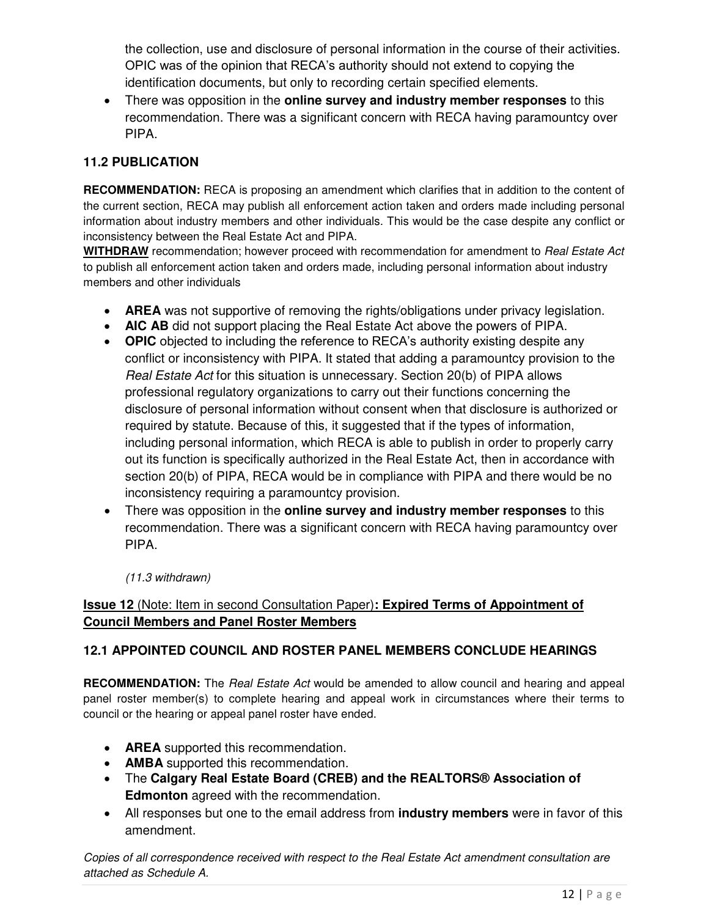the collection, use and disclosure of personal information in the course of their activities. OPIC was of the opinion that RECA's authority should not extend to copying the identification documents, but only to recording certain specified elements.

 There was opposition in the **online survey and industry member responses** to this recommendation. There was a significant concern with RECA having paramountcy over PIPA.

# **11.2 PUBLICATION**

**RECOMMENDATION:** RECA is proposing an amendment which clarifies that in addition to the content of the current section, RECA may publish all enforcement action taken and orders made including personal information about industry members and other individuals. This would be the case despite any conflict or inconsistency between the Real Estate Act and PIPA.

**WITHDRAW** recommendation; however proceed with recommendation for amendment to *Real Estate Act* to publish all enforcement action taken and orders made, including personal information about industry members and other individuals

- **AREA** was not supportive of removing the rights/obligations under privacy legislation.
- **AIC AB** did not support placing the Real Estate Act above the powers of PIPA.
- **OPIC** objected to including the reference to RECA's authority existing despite any conflict or inconsistency with PIPA. It stated that adding a paramountcy provision to the *Real Estate Act* for this situation is unnecessary. Section 20(b) of PIPA allows professional regulatory organizations to carry out their functions concerning the disclosure of personal information without consent when that disclosure is authorized or required by statute. Because of this, it suggested that if the types of information, including personal information, which RECA is able to publish in order to properly carry out its function is specifically authorized in the Real Estate Act, then in accordance with section 20(b) of PIPA, RECA would be in compliance with PIPA and there would be no inconsistency requiring a paramountcy provision.
- There was opposition in the **online survey and industry member responses** to this recommendation. There was a significant concern with RECA having paramountcy over PIPA.

*(11.3 withdrawn)* 

# **Issue 12** (Note: Item in second Consultation Paper)**: Expired Terms of Appointment of Council Members and Panel Roster Members**

## **12.1 APPOINTED COUNCIL AND ROSTER PANEL MEMBERS CONCLUDE HEARINGS**

**RECOMMENDATION:** The *Real Estate Act* would be amended to allow council and hearing and appeal panel roster member(s) to complete hearing and appeal work in circumstances where their terms to council or the hearing or appeal panel roster have ended.

- **AREA** supported this recommendation.
- **AMBA** supported this recommendation.
- The **Calgary Real Estate Board (CREB) and the REALTORS® Association of Edmonton** agreed with the recommendation.
- All responses but one to the email address from **industry members** were in favor of this amendment.

*Copies of all correspondence received with respect to the Real Estate Act amendment consultation are attached as Schedule A.*